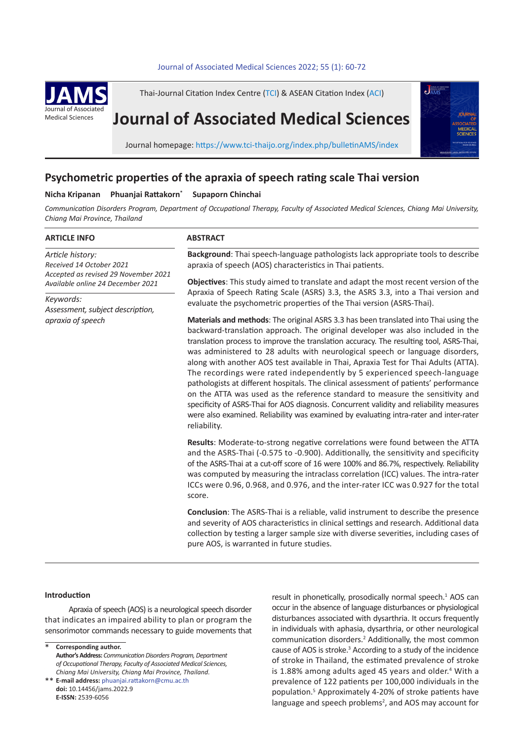# 60 *N. Kripanan et al* Journal of Associated Medical Sciences 2022; 55 (1): 60-72 **.** Journal of Associated Medical Sciences 2022; 55(1): 60-72



Thai-Journal Citation Index Centre (TCI) & ASEAN Citation Index (ACI)

# **Journal of Associated Medical Sciences**



Journal homepage: https://www.tci-thaijo.org/index.php/bulletinAMS/index

# **Psychometric properties of the apraxia of speech rating scale Thai version**

# **Nicha Kripanan Phuanjai Rattakorn\* Supaporn Chinchai**

*Communication Disorders Program, Department of Occupational Therapy, Faculty of Associated Medical Sciences, Chiang Mai University, Chiang Mai Province, Thailand*

#### **ARTICLE INFO**

*Article history: Received 14 October 2021 Accepted as revised 29 November 2021 Available online 24 December 2021*

*Keywords: Assessment, subject description, apraxia of speech*

# **ABSTRACT**

**Background**: Thai speech-language pathologists lack appropriate tools to describe apraxia of speech (AOS) characteristics in Thai patients.

**Objectives**: This study aimed to translate and adapt the most recent version of the Apraxia of Speech Rating Scale (ASRS) 3.3, the ASRS 3.3, into a Thai version and evaluate the psychometric properties of the Thai version (ASRS-Thai).

**Materials and methods**: The original ASRS 3.3 has been translated into Thai using the backward-translation approach. The original developer was also included in the translation process to improve the translation accuracy. The resulting tool, ASRS-Thai, was administered to 28 adults with neurological speech or language disorders, along with another AOS test available in Thai, Apraxia Test for Thai Adults (ATTA). The recordings were rated independently by 5 experienced speech-language pathologists at different hospitals. The clinical assessment of patients' performance on the ATTA was used as the reference standard to measure the sensitivity and specificity of ASRS-Thai for AOS diagnosis. Concurrent validity and reliability measures were also examined. Reliability was examined by evaluating intra-rater and inter-rater reliability.

**Results**: Moderate-to-strong negative correlations were found between the ATTA and the ASRS-Thai (-0.575 to -0.900). Additionally, the sensitivity and specificity of the ASRS-Thai at a cut-off score of 16 were 100% and 86.7%, respectively. Reliability was computed by measuring the intraclass correlation (ICC) values. The intra-rater ICCs were 0.96, 0.968, and 0.976, and the inter-rater ICC was 0.927 for the total score.

**Conclusion**: The ASRS-Thai is a reliable, valid instrument to describe the presence and severity of AOS characteristics in clinical settings and research. Additional data collection by testing a larger sample size with diverse severities, including cases of pure AOS, is warranted in future studies.

## **Introduction**

Apraxia of speech (AOS) is a neurological speech disorder that indicates an impaired ability to plan or program the sensorimotor commands necessary to guide movements that

**Corresponding author.** \*

result in phonetically, prosodically normal speech.<sup>1</sup> AOS can occur in the absence of language disturbances or physiological disturbances associated with dysarthria. It occurs frequently in individuals with aphasia, dysarthria, or other neurological communication disorders.<sup>2</sup> Additionally, the most common cause of AOS is stroke.<sup>3</sup> According to a study of the incidence of stroke in Thailand, the estimated prevalence of stroke is 1.88% among adults aged 45 years and older.<sup>4</sup> With a prevalence of 122 patients per 100,000 individuals in the population.<sup>5</sup> Approximately 4-20% of stroke patients have language and speech problems<sup>2</sup>, and AOS may account for

**Author's Address:** *Communication Disorders Program, Department of Occupational Therapy, Faculty of Associated Medical Sciences, Chiang Mai University, Chiang Mai Province, Thailand.*

**E-mail address:** phuanjai.rattakorn@cmu.ac.th \*\* **doi:** 10.14456/jams.2022.9 **E-ISSN:** 2539-6056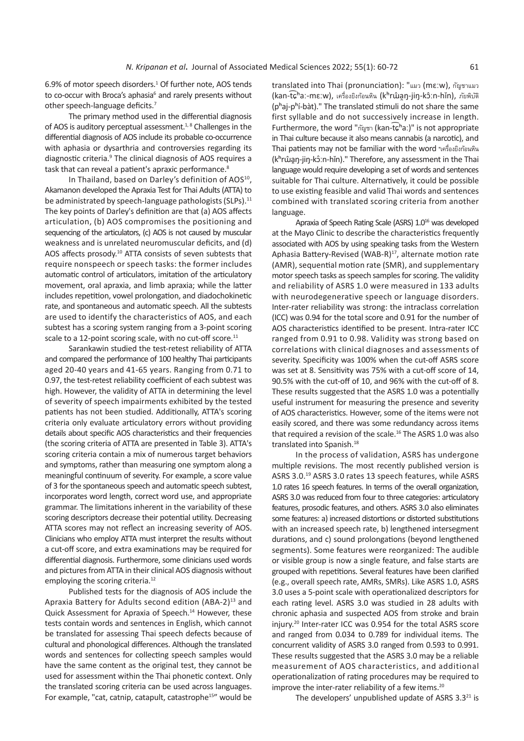6.9% of motor speech disorders.<sup>1</sup> Of further note, AOS tends to co-occur with Broca's aphasia<sup>6</sup> and rarely presents without other speech-language deficits.<sup>7</sup>

The primary method used in the differential diagnosis of AOS is auditory perceptual assessment.<sup>1, 8</sup> Challenges in the differential diagnosis of AOS include its probable co-occurrence with aphasia or dysarthria and controversies regarding its diagnostic criteria.<sup>9</sup> The clinical diagnosis of AOS requires a task that can reveal a patient's apraxic performance.<sup>8</sup>

In Thailand, based on Darley's definition of AOS<sup>10</sup>, Akamanon developed the Apraxia Test for Thai Adults (ATTA) to be administrated by speech-language pathologists (SLPs).<sup>11</sup> The key points of Darley's definition are that (a) AOS affects articulation, (b) AOS compromises the positioning and sequencing of the articulators, (c) AOS is not caused by muscular weakness and is unrelated neuromuscular deficits, and (d) AOS affects prosody.<sup>10</sup> ATTA consists of seven subtests that require nonspeech or speech tasks: the former includes automatic control of articulators, imitation of the articulatory movement, oral apraxia, and limb apraxia; while the latter includes repetition, vowel prolongation, and diadochokinetic rate, and spontaneous and automatic speech. All the subtests are used to identify the characteristics of AOS, and each subtest has a scoring system ranging from a 3-point scoring scale to a 12-point scoring scale, with no cut-off score.<sup>11</sup>

Sarankawin studied the test-retest reliability of ATTA and compared the performance of 100 healthy Thai participants aged 20-40 years and 41-65 years. Ranging from 0.71 to 0.97, the test-retest reliability coefficient of each subtest was high. However, the validity of ATTA in determining the level of severity of speech impairments exhibited by the tested patients has not been studied. Additionally, ATTA's scoring criteria only evaluate articulatory errors without providing details about specific AOS characteristics and their frequencies (the scoring criteria of ATTA are presented in Table 3). ATTA's scoring criteria contain a mix of numerous target behaviors and symptoms, rather than measuring one symptom along a meaningful continuum of severity. For example, a score value of 3 for the spontaneous speech and automatic speech subtest, incorporates word length, correct word use, and appropriate grammar. The limitations inherent in the variability of these scoring descriptors decrease their potential utility. Decreasing ATTA scores may not reflect an increasing severity of AOS. Clinicians who employ ATTA must interpret the results without a cut-off score, and extra examinations may be required for differential diagnosis. Furthermore, some clinicians used words and pictures from ATTA in their clinical AOS diagnosis without employing the scoring criteria.<sup>12</sup>

Published tests for the diagnosis of AOS include the Apraxia Battery for Adults second edition (ABA-2)<sup>13</sup> and Quick Assessment for Apraxia of Speech.<sup>14</sup> However, these tests contain words and sentences in English, which cannot be translated for assessing Thai speech defects because of cultural and phonological differences. Although the translated words and sentences for collecting speech samples would have the same content as the original test, they cannot be used for assessment within the Thai phonetic context. Only the translated scoring criteria can be used across languages. For example, "cat, catnip, catapult, catastrophe<sup>15"</sup> would be translated into Thai (pronunciation): "แมว (mɛːw), กัญชาแมว (kan-t͡ɕʰaː-mɛːw), เครื่องยิงก้อนหิน (kʰrɯ̂a̯ŋ-jiŋ-kɔ̂ːn-hǐn), ภัยพิบัติ  $(p<sup>h</sup>a<sub>j</sub>-p<sup>h</sup>i-bat)$ ." The translated stimuli do not share the same first syllable and do not successively increase in length. Furthermore, the word "กัญชา (kan-tɕʰaː)" is not appropriate ͡ in Thai culture because it also means cannabis (a narcotic), and Thai patients may not be familiar with the word "เครื่องยิงก้อนหิน (k<sup>h</sup>rŵan-jin-kô:n-hǐn)." Therefore, any assessment in the Thai language would require developing a set of words and sentences suitable for Thai culture. Alternatively, it could be possible to use existing feasible and valid Thai words and sentences combined with translated scoring criteria from another language.

Apraxia of Speech Rating Scale (ASRS) 1.0<sup>16</sup> was developed at the Mayo Clinic to describe the characteristics frequently associated with AOS by using speaking tasks from the Western Aphasia Battery-Revised (WAB-R)<sup>17</sup>, alternate motion rate (AMR), sequential motion rate (SMR), and supplementary motor speech tasks as speech samples for scoring. The validity and reliability of ASRS 1.0 were measured in 133 adults with neurodegenerative speech or language disorders. Inter-rater reliability was strong: the intraclass correlation (ICC) was 0.94 for the total score and 0.91 for the number of AOS characteristics identified to be present. Intra-rater ICC ranged from 0.91 to 0.98. Validity was strong based on correlations with clinical diagnoses and assessments of severity. Specificity was 100% when the cut-off ASRS score was set at 8. Sensitivity was 75% with a cut-off score of 14, 90.5% with the cut-off of 10, and 96% with the cut-off of 8. These results suggested that the ASRS 1.0 was a potentially useful instrument for measuring the presence and severity of AOS characteristics. However, some of the items were not easily scored, and there was some redundancy across items that required a revision of the scale.<sup>16</sup> The ASRS 1.0 was also translated into Spanish.<sup>18</sup>

In the process of validation, ASRS has undergone multiple revisions. The most recently published version is ASRS 3.0.19 ASRS 3.0 rates 13 speech features, while ASRS 1.0 rates 16 speech features. In terms of the overall organization, ASRS 3.0 was reduced from four to three categories: articulatory features, prosodic features, and others. ASRS 3.0 also eliminates some features: a) increased distortions or distorted substitutions with an increased speech rate, b) lengthened intersegment durations, and c) sound prolongations (beyond lengthened segments). Some features were reorganized: The audible or visible group is now a single feature, and false starts are grouped with repetitions. Several features have been clarified (e.g., overall speech rate, AMRs, SMRs). Like ASRS 1.0, ASRS 3.0 uses a 5-point scale with operationalized descriptors for each rating level. ASRS 3.0 was studied in 28 adults with chronic aphasia and suspected AOS from stroke and brain injury.<sup>20</sup> Inter-rater ICC was 0.954 for the total ASRS score and ranged from 0.034 to 0.789 for individual items. The concurrent validity of ASRS 3.0 ranged from 0.593 to 0.991. These results suggested that the ASRS 3.0 may be a reliable measurement of AOS characteristics, and additional operationalization of rating procedures may be required to improve the inter-rater reliability of a few items.<sup>20</sup>

The developers' unpublished update of ASRS  $3.3^{21}$  is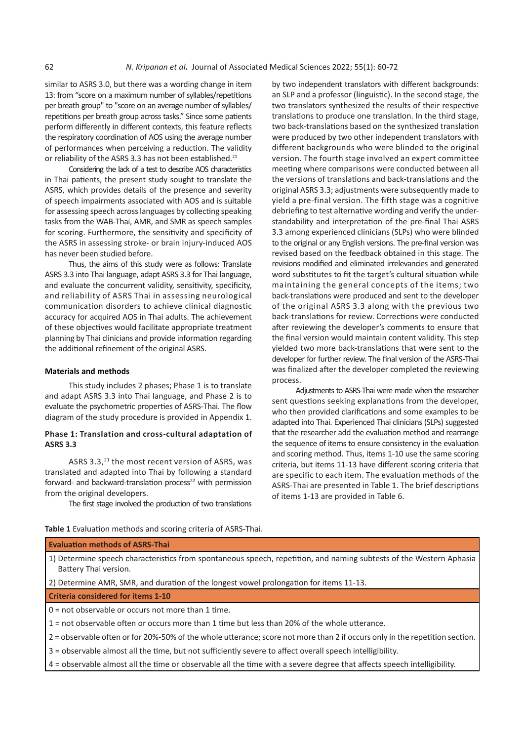similar to ASRS 3.0, but there was a wording change in item 13: from "score on a maximum number of syllables/repetitions per breath group" to "score on an average number of syllables/ repetitions per breath group across tasks." Since some patients perform differently in different contexts, this feature reflects the respiratory coordination of AOS using the average number of performances when perceiving a reduction. The validity or reliability of the ASRS 3.3 has not been established.<sup>21</sup>

Considering the lack of a test to describe AOS characteristics in Thai patients, the present study sought to translate the ASRS, which provides details of the presence and severity of speech impairments associated with AOS and is suitable for assessing speech across languages by collecting speaking tasks from the WAB-Thai, AMR, and SMR as speech samples for scoring. Furthermore, the sensitivity and specificity of the ASRS in assessing stroke- or brain injury-induced AOS has never been studied before.

Thus, the aims of this study were as follows: Translate ASRS 3.3 into Thai language, adapt ASRS 3.3 for Thai language, and evaluate the concurrent validity, sensitivity, specificity, and reliability of ASRS Thai in assessing neurological communication disorders to achieve clinical diagnostic accuracy for acquired AOS in Thai adults. The achievement of these objectives would facilitate appropriate treatment planning by Thai clinicians and provide information regarding the additional refinement of the original ASRS.

# **Materials and methods**

This study includes 2 phases; Phase 1 is to translate and adapt ASRS 3.3 into Thai language, and Phase 2 is to evaluate the psychometric properties of ASRS-Thai. The flow diagram of the study procedure is provided in Appendix 1.

# **Phase 1: Translation and cross-cultural adaptation of ASRS 3.3**

ASRS 3.3,<sup>21</sup> the most recent version of ASRS, was translated and adapted into Thai by following a standard forward- and backward-translation process<sup>22</sup> with permission from the original developers.

The first stage involved the production of two translations

by two independent translators with different backgrounds: an SLP and a professor (linguistic). In the second stage, the two translators synthesized the results of their respective translations to produce one translation. In the third stage, two back-translations based on the synthesized translation were produced by two other independent translators with different backgrounds who were blinded to the original version. The fourth stage involved an expert committee meeting where comparisons were conducted between all the versions of translations and back-translations and the original ASRS 3.3; adjustments were subsequently made to yield a pre-final version. The fifth stage was a cognitive debriefing to test alternative wording and verify the understandability and interpretation of the pre-final Thai ASRS 3.3 among experienced clinicians (SLPs) who were blinded to the original or any English versions. The pre-final version was revised based on the feedback obtained in this stage. The revisions modified and eliminated irrelevancies and generated word substitutes to fit the target's cultural situation while maintaining the general concepts of the items; two back-translations were produced and sent to the developer of the original ASRS 3.3 along with the previous two back-translations for review. Corrections were conducted after reviewing the developer's comments to ensure that the final version would maintain content validity. This step yielded two more back-translations that were sent to the developer for further review. The final version of the ASRS-Thai was finalized after the developer completed the reviewing process.

Adjustments to ASRS-Thai were made when the researcher sent questions seeking explanations from the developer, who then provided clarifications and some examples to be adapted into Thai. Experienced Thai clinicians (SLPs) suggested that the researcher add the evaluation method and rearrange the sequence of items to ensure consistency in the evaluation and scoring method. Thus, items 1-10 use the same scoring criteria, but items 11-13 have different scoring criteria that are specific to each item. The evaluation methods of the ASRS-Thai are presented in Table 1. The brief descriptions of items 1-13 are provided in Table 6.

**Table 1** Evaluation methods and scoring criteria of ASRS-Thai.

| <b>Evaluation methods of ASRS-Thai</b>                                                                                                       |
|----------------------------------------------------------------------------------------------------------------------------------------------|
| 1) Determine speech characteristics from spontaneous speech, repetition, and naming subtests of the Western Aphasia<br>Battery Thai version. |
| 2) Determine AMR, SMR, and duration of the longest vowel prolongation for items 11-13.                                                       |
| <b>Criteria considered for items 1-10</b>                                                                                                    |
| $0 =$ not observable or occurs not more than 1 time.                                                                                         |
| $1$ = not observable often or occurs more than 1 time but less than 20% of the whole utterance.                                              |
| 2 = observable often or for 20%-50% of the whole utterance; score not more than 2 if occurs only in the repetition section.                  |
| 3 = observable almost all the time, but not sufficiently severe to affect overall speech intelligibility.                                    |
| 4 = observable almost all the time or observable all the time with a severe degree that affects speech intelligibility.                      |
|                                                                                                                                              |
|                                                                                                                                              |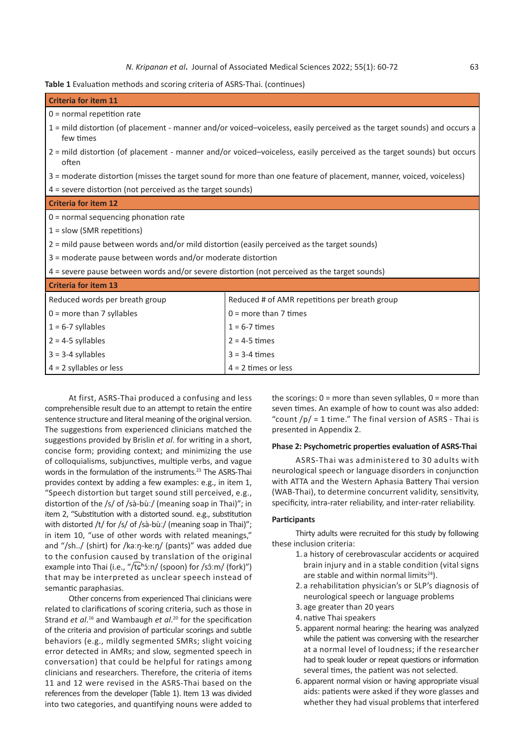| <b>Criteria for item 11</b>                                                                                                          |                                                                                                                       |  |  |  |  |  |  |
|--------------------------------------------------------------------------------------------------------------------------------------|-----------------------------------------------------------------------------------------------------------------------|--|--|--|--|--|--|
| $0 = normal repetition rate$                                                                                                         |                                                                                                                       |  |  |  |  |  |  |
| 1 = mild distortion (of placement - manner and/or voiced-voiceless, easily perceived as the target sounds) and occurs a<br>few times |                                                                                                                       |  |  |  |  |  |  |
| often                                                                                                                                | 2 = mild distortion (of placement - manner and/or voiced–voiceless, easily perceived as the target sounds) but occurs |  |  |  |  |  |  |
|                                                                                                                                      | 3 = moderate distortion (misses the target sound for more than one feature of placement, manner, voiced, voiceless)   |  |  |  |  |  |  |
| 4 = severe distortion (not perceived as the target sounds)                                                                           |                                                                                                                       |  |  |  |  |  |  |
| <b>Criteria for item 12</b>                                                                                                          |                                                                                                                       |  |  |  |  |  |  |
| $0 =$ normal sequencing phonation rate                                                                                               |                                                                                                                       |  |  |  |  |  |  |
| $1 =$ slow (SMR repetitions)                                                                                                         |                                                                                                                       |  |  |  |  |  |  |
| 2 = mild pause between words and/or mild distortion (easily perceived as the target sounds)                                          |                                                                                                                       |  |  |  |  |  |  |
| 3 = moderate pause between words and/or moderate distortion                                                                          |                                                                                                                       |  |  |  |  |  |  |
| $4$ = severe pause between words and/or severe distortion (not perceived as the target sounds)                                       |                                                                                                                       |  |  |  |  |  |  |
| <b>Criteria for item 13</b>                                                                                                          |                                                                                                                       |  |  |  |  |  |  |
| Reduced words per breath group                                                                                                       | Reduced # of AMR repetitions per breath group                                                                         |  |  |  |  |  |  |
| $0 =$ more than 7 syllables                                                                                                          | $0 =$ more than 7 times                                                                                               |  |  |  |  |  |  |
| $1 = 6-7$ syllables                                                                                                                  | $1 = 6 - 7$ times                                                                                                     |  |  |  |  |  |  |
| $2 = 4-5$ syllables<br>$2 = 4-5$ times                                                                                               |                                                                                                                       |  |  |  |  |  |  |
| $3 = 3-4$ syllables<br>$3 = 3-4$ times                                                                                               |                                                                                                                       |  |  |  |  |  |  |
| $4 = 2$ syllables or less                                                                                                            | $4 = 2$ times or less                                                                                                 |  |  |  |  |  |  |

At first, ASRS-Thai produced a confusing and less comprehensible result due to an attempt to retain the entire sentence structure and literal meaning of the original version. The suggestions from experienced clinicians matched the suggestions provided by Brislin *et al*. for writing in a short, concise form; providing context; and minimizing the use of colloquialisms, subjunctives, multiple verbs, and vague words in the formulation of the instruments.<sup>23</sup> The ASRS-Thai provides context by adding a few examples: e.g., in item 1, "Speech distortion but target sound still perceived, e.g., distortion of the /s/ of /sà-bùː/ (meaning soap in Thai)"; in item 2, "Substitution with a distorted sound. e.g., substitution with distorted /t/ for /s/ of /sà-bùː/ (meaning soap in Thai)"; in item 10, "use of other words with related meanings," and "/sh../ (shirt) for /kaːŋ-keːŋ/ (pants)" was added due to the confusion caused by translation of the original example into Thai (i.e., "/t͡ɕʰɔ́ːn/ (spoon) for /sɔ̂ːm/ (fork)") that may be interpreted as unclear speech instead of semantic paraphasias.

Other concerns from experienced Thai clinicians were related to clarifications of scoring criteria, such as those in Strand *et al*. <sup>16</sup> and Wambaugh *et al*. <sup>20</sup> for the specification of the criteria and provision of particular scorings and subtle behaviors (e.g., mildly segmented SMRs; slight voicing error detected in AMRs; and slow, segmented speech in conversation) that could be helpful for ratings among clinicians and researchers. Therefore, the criteria of items 11 and 12 were revised in the ASRS-Thai based on the references from the developer (Table 1). Item 13 was divided into two categories, and quantifying nouns were added to

the scorings:  $0 =$  more than seven syllables,  $0 =$  more than seven times. An example of how to count was also added: "count  $/p/ = 1$  time." The final version of ASRS - Thai is presented in Appendix 2.

# **Phase 2: Psychometric properties evaluation of ASRS-Thai**

ASRS-Thai was administered to 30 adults with neurological speech or language disorders in conjunction with ATTA and the Western Aphasia Battery Thai version (WAB-Thai), to determine concurrent validity, sensitivity, specificity, intra-rater reliability, and inter-rater reliability.

## **Participants**

Thirty adults were recruited for this study by following these inclusion criteria:

- 1. a history of cerebrovascular accidents or acquired brain injury and in a stable condition (vital signs are stable and within normal limits $24$ ).
- 2. a rehabilitation physician's or SLP's diagnosis of neurological speech or language problems
- 3. age greater than 20 years
- 4. native Thai speakers
- 5. apparent normal hearing: the hearing was analyzed while the patient was conversing with the researcher at a normal level of loudness; if the researcher had to speak louder or repeat questions or information several times, the patient was not selected.
- 6. apparent normal vision or having appropriate visual aids: patients were asked if they wore glasses and whether they had visual problems that interfered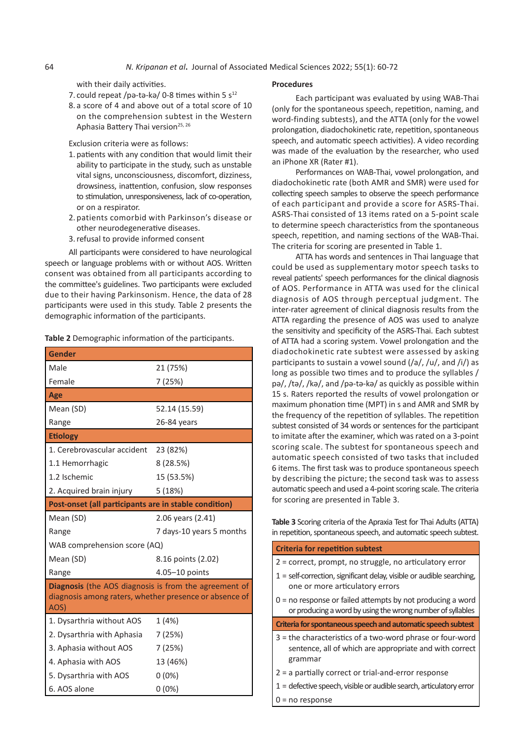with their daily activities.

- 7. could repeat /pǝ-tǝ-kǝ/ 0-8 times within 5 s<sup>12</sup>
- 8. a score of 4 and above out of a total score of 10 on the comprehension subtest in the Western Aphasia Battery Thai version<sup>25, 26</sup>

Exclusion criteria were as follows:

- 1. patients with any condition that would limit their ability to participate in the study, such as unstable vital signs, unconsciousness, discomfort, dizziness, drowsiness, inattention, confusion, slow responses to stimulation, unresponsiveness, lack of co-operation, or on a respirator.
- 2. patients comorbid with Parkinson's disease or other neurodegenerative diseases.
- 3.refusal to provide informed consent

All participants were considered to have neurological speech or language problems with or without AOS. Written consent was obtained from all participants according to the committee's guidelines. Two participants were excluded due to their having Parkinsonism. Hence, the data of 28 participants were used in this study. Table 2 presents the demographic information of the participants.

**Table 2** Demographic information of the participants.

| <b>Gender</b>                                                                                                           |                          |
|-------------------------------------------------------------------------------------------------------------------------|--------------------------|
| Male                                                                                                                    | 21 (75%)                 |
| Female                                                                                                                  | 7 (25%)                  |
| Age                                                                                                                     |                          |
| Mean (SD)                                                                                                               | 52.14 (15.59)            |
| Range                                                                                                                   | 26-84 years              |
| <b>Etiology</b>                                                                                                         |                          |
| 1. Cerebrovascular accident                                                                                             | 23 (82%)                 |
| 1.1 Hemorrhagic                                                                                                         | 8(28.5%)                 |
| 1.2 Ischemic                                                                                                            | 15 (53.5%)               |
| 2. Acquired brain injury                                                                                                | 5(18%)                   |
| Post-onset (all participants are in stable condition)                                                                   |                          |
| Mean (SD)                                                                                                               | 2.06 years (2.41)        |
| Range                                                                                                                   | 7 days-10 years 5 months |
| WAB comprehension score (AQ)                                                                                            |                          |
| Mean (SD)                                                                                                               | 8.16 points (2.02)       |
| Range                                                                                                                   | 4.05-10 points           |
| Diagnosis (the AOS diagnosis is from the agreement of<br>diagnosis among raters, whether presence or absence of<br>AOS) |                          |
| 1. Dysarthria without AOS                                                                                               | 1 (4%)                   |
| 2. Dysarthria with Aphasia                                                                                              | 7 (25%)                  |
| 3. Aphasia without AOS                                                                                                  | 7 (25%)                  |
| 4. Aphasia with AOS                                                                                                     | 13 (46%)                 |
| 5. Dysarthria with AOS                                                                                                  | $0(0\%)$                 |
| 6. AOS alone                                                                                                            | $0(0\%)$                 |

#### **Procedures**

Each participant was evaluated by using WAB-Thai (only for the spontaneous speech, repetition, naming, and word-finding subtests), and the ATTA (only for the vowel prolongation, diadochokinetic rate, repetition, spontaneous speech, and automatic speech activities). A video recording was made of the evaluation by the researcher, who used an iPhone XR (Rater #1).

Performances on WAB-Thai, vowel prolongation, and diadochokinetic rate (both AMR and SMR) were used for collecting speech samples to observe the speech performance of each participant and provide a score for ASRS-Thai. ASRS-Thai consisted of 13 items rated on a 5-point scale to determine speech characteristics from the spontaneous speech, repetition, and naming sections of the WAB-Thai. The criteria for scoring are presented in Table 1.

ATTA has words and sentences in Thai language that could be used as supplementary motor speech tasks to reveal patients' speech performances for the clinical diagnosis of AOS. Performance in ATTA was used for the clinical diagnosis of AOS through perceptual judgment. The inter-rater agreement of clinical diagnosis results from the ATTA regarding the presence of AOS was used to analyze the sensitivity and specificity of the ASRS-Thai. Each subtest of ATTA had a scoring system. Vowel prolongation and the diadochokinetic rate subtest were assessed by asking participants to sustain a vowel sound  $\frac{1}{a}, \frac{u}{v}$ , and  $\frac{ii}{2}$  as long as possible two times and to produce the syllables / pǝ/, /tǝ/, /kǝ/, and /pǝ-tǝ-kǝ/ as quickly as possible within 15 s. Raters reported the results of vowel prolongation or maximum phonation time (MPT) in s and AMR and SMR by the frequency of the repetition of syllables. The repetition subtest consisted of 34 words or sentences for the participant to imitate after the examiner, which was rated on a 3-point scoring scale. The subtest for spontaneous speech and automatic speech consisted of two tasks that included 6 items. The first task was to produce spontaneous speech by describing the picture; the second task was to assess automatic speech and used a 4-point scoring scale. The criteria for scoring are presented in Table 3.

**Table 3** Scoring criteria of the Apraxia Test for Thai Adults (ATTA) in repetition, spontaneous speech, and automatic speech subtest.

| <b>Criteria for repetition subtest</b>                                                                                            |
|-----------------------------------------------------------------------------------------------------------------------------------|
| 2 = correct, prompt, no struggle, no articulatory error                                                                           |
| $1$ = self-correction, significant delay, visible or audible searching,<br>one or more articulatory errors                        |
| $0 =$ no response or failed attempts by not producing a word<br>or producing a word by using the wrong number of syllables        |
| Criteria for spontaneous speech and automatic speech subtest                                                                      |
| $3$ = the characteristics of a two-word phrase or four-word<br>sentence, all of which are appropriate and with correct<br>grammar |
| $2$ = a partially correct or trial-and-error response                                                                             |
| $1$ = defective speech, visible or audible search, articulatory error                                                             |
| $0 = no$ response                                                                                                                 |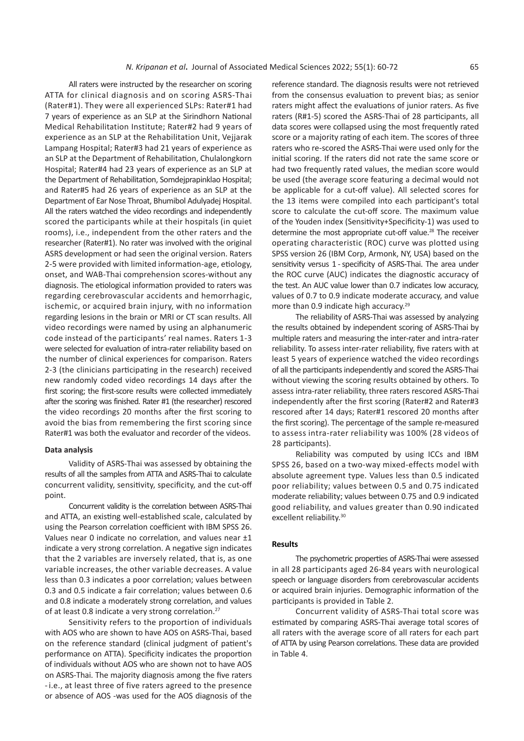All raters were instructed by the researcher on scoring ATTA for clinical diagnosis and on scoring ASRS-Thai (Rater#1). They were all experienced SLPs: Rater#1 had 7 years of experience as an SLP at the Sirindhorn National Medical Rehabilitation Institute; Rater#2 had 9 years of experience as an SLP at the Rehabilitation Unit, Vejjarak Lampang Hospital; Rater#3 had 21 years of experience as an SLP at the Department of Rehabilitation, Chulalongkorn Hospital; Rater#4 had 23 years of experience as an SLP at the Department of Rehabilitation, Somdejprapinklao Hospital; and Rater#5 had 26 years of experience as an SLP at the Department of Ear Nose Throat, Bhumibol Adulyadej Hospital. All the raters watched the video recordings and independently scored the participants while at their hospitals (in quiet rooms), i.e., independent from the other raters and the researcher (Rater#1). No rater was involved with the original ASRS development or had seen the original version. Raters 2-5 were provided with limited information-age, etiology, onset, and WAB-Thai comprehension scores-without any diagnosis. The etiological information provided to raters was regarding cerebrovascular accidents and hemorrhagic, ischemic, or acquired brain injury, with no information regarding lesions in the brain or MRI or CT scan results. All video recordings were named by using an alphanumeric code instead of the participants' real names. Raters 1-3 were selected for evaluation of intra-rater reliability based on the number of clinical experiences for comparison. Raters 2-3 (the clinicians participating in the research) received new randomly coded video recordings 14 days after the first scoring; the first-score results were collected immediately after the scoring was finished. Rater #1 (the researcher) rescored the video recordings 20 months after the first scoring to avoid the bias from remembering the first scoring since Rater#1 was both the evaluator and recorder of the videos.

#### **Data analysis**

Validity of ASRS-Thai was assessed by obtaining the results of all the samples from ATTA and ASRS-Thai to calculate concurrent validity, sensitivity, specificity, and the cut-off point.

Concurrent validity is the correlation between ASRS-Thai and ATTA, an existing well-established scale, calculated by using the Pearson correlation coefficient with IBM SPSS 26. Values near 0 indicate no correlation, and values near ±1 indicate a very strong correlation. A negative sign indicates that the 2 variables are inversely related, that is, as one variable increases, the other variable decreases. A value less than 0.3 indicates a poor correlation; values between 0.3 and 0.5 indicate a fair correlation; values between 0.6 and 0.8 indicate a moderately strong correlation, and values of at least 0.8 indicate a very strong correlation.<sup>27</sup>

Sensitivity refers to the proportion of individuals with AOS who are shown to have AOS on ASRS-Thai, based on the reference standard (clinical judgment of patient's performance on ATTA). Specificity indicates the proportion of individuals without AOS who are shown not to have AOS on ASRS-Thai. The majority diagnosis among the five raters -i.e., at least three of five raters agreed to the presence or absence of AOS -was used for the AOS diagnosis of the

reference standard. The diagnosis results were not retrieved from the consensus evaluation to prevent bias; as senior raters might affect the evaluations of junior raters. As five raters (R#1-5) scored the ASRS-Thai of 28 participants, all data scores were collapsed using the most frequently rated score or a majority rating of each item. The scores of three raters who re-scored the ASRS-Thai were used only for the initial scoring. If the raters did not rate the same score or had two frequently rated values, the median score would be used (the average score featuring a decimal would not be applicable for a cut-off value). All selected scores for the 13 items were compiled into each participant's total score to calculate the cut-off score. The maximum value of the Youden index (Sensitivity+Specificity-1) was used to determine the most appropriate cut-off value.<sup>28</sup> The receiver operating characteristic (ROC) curve was plotted using SPSS version 26 (IBM Corp, Armonk, NY, USA) based on the sensitivity versus 1 - specificity of ASRS-Thai. The area under the ROC curve (AUC) indicates the diagnostic accuracy of the test. An AUC value lower than 0.7 indicates low accuracy, values of 0.7 to 0.9 indicate moderate accuracy, and value more than 0.9 indicate high accuracy.<sup>29</sup>

The reliability of ASRS-Thai was assessed by analyzing the results obtained by independent scoring of ASRS-Thai by multiple raters and measuring the inter-rater and intra-rater reliability. To assess inter-rater reliability, five raters with at least 5 years of experience watched the video recordings of all the participants independently and scored the ASRS-Thai without viewing the scoring results obtained by others. To assess intra-rater reliability, three raters rescored ASRS-Thai independently after the first scoring (Rater#2 and Rater#3 rescored after 14 days; Rater#1 rescored 20 months after the first scoring). The percentage of the sample re-measured to assess intra-rater reliability was 100% (28 videos of 28 participants).

Reliability was computed by using ICCs and IBM SPSS 26, based on a two-way mixed-effects model with absolute agreement type. Values less than 0.5 indicated poor reliability; values between 0.5 and 0.75 indicated moderate reliability; values between 0.75 and 0.9 indicated good reliability, and values greater than 0.90 indicated excellent reliability.30

# **Results**

The psychometric properties of ASRS-Thai were assessed in all 28 participants aged 26-84 years with neurological speech or language disorders from cerebrovascular accidents or acquired brain injuries. Demographic information of the participants is provided in Table 2.

Concurrent validity of ASRS-Thai total score was estimated by comparing ASRS-Thai average total scores of all raters with the average score of all raters for each part of ATTA by using Pearson correlations. These data are provided in Table 4.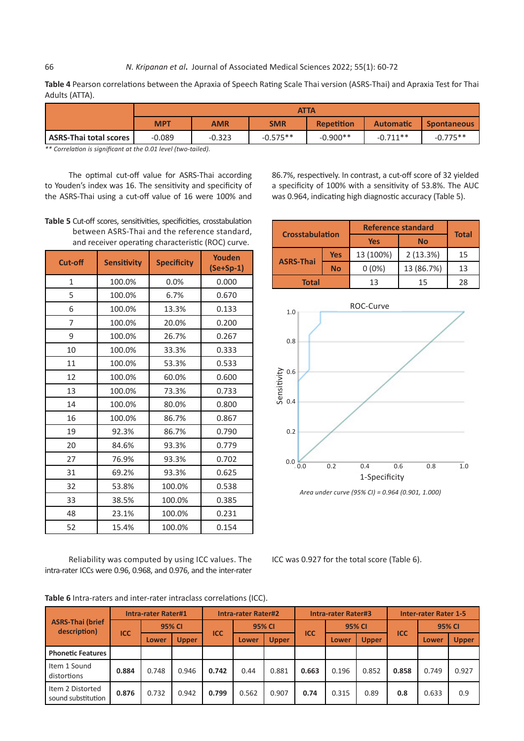**Table 4** Pearson correlations between the Apraxia of Speech Rating Scale Thai version (ASRS-Thai) and Apraxia Test for Thai Adults (ATTA).

|                        | <b>ATTA</b> |          |                                                                    |            |            |            |  |  |
|------------------------|-------------|----------|--------------------------------------------------------------------|------------|------------|------------|--|--|
|                        | <b>MPT</b>  | AMR      | Repetition<br><b>SMR</b><br><b>Automatic</b><br><b>Spontaneous</b> |            |            |            |  |  |
| ASRS-Thai total scores | $-0.089$    | $-0.323$ | $-0.575**$                                                         | $-0.900**$ | $-0.711**$ | $-0.775**$ |  |  |

*\*\* Correlation is significant at the 0.01 level (two-tailed).*

The optimal cut-off value for ASRS-Thai according to Youden's index was 16. The sensitivity and specificity of the ASRS-Thai using a cut-off value of 16 were 100% and

**Table 5** Cut-off scores, sensitivities, specificities, crosstabulation between ASRS-Thai and the reference standard, and receiver operating characteristic (ROC) curve.

| <b>Cut-off</b> | <b>Sensitivity</b> | <b>Specificity</b> | Youden<br>$(Se+Sp-1)$ |
|----------------|--------------------|--------------------|-----------------------|
| $\mathbf{1}$   | 100.0%             | 0.0%               | 0.000                 |
| 5              | 100.0%             | 6.7%               | 0.670                 |
| 6              | 100.0%             | 13.3%              | 0.133                 |
| 7              | 100.0%             | 20.0%              | 0.200                 |
| 9              | 100.0%             | 26.7%              | 0.267                 |
| 10             | 100.0%             | 33.3%              | 0.333                 |
| 11             | 100.0%             | 53.3%              | 0.533                 |
| 12             | 100.0%             | 60.0%              | 0.600                 |
| 13             | 100.0%             | 73.3%              | 0.733                 |
| 14             | 100.0%             | 80.0%              | 0.800                 |
| 16             | 100.0%             | 86.7%              | 0.867                 |
| 19             | 92.3%              | 86.7%              | 0.790                 |
| 20             | 84.6%              | 93.3%              | 0.779                 |
| 27             | 76.9%              | 93.3%              | 0.702                 |
| 31             | 69.2%              | 93.3%              | 0.625                 |
| 32             | 53.8%              | 100.0%             | 0.538                 |
| 33             | 38.5%              | 100.0%             | 0.385                 |
| 48             | 23.1%              | 100.0%             | 0.231                 |
| 52             | 15.4%              | 100.0%             | 0.154                 |

Reliability was computed by using ICC values. The intra-rater ICCs were 0.96, 0.968, and 0.976, and the inter-rater 86.7%, respectively. In contrast, a cut-off score of 32 yielded a specificity of 100% with a sensitivity of 53.8%. The AUC was 0.964, indicating high diagnostic accuracy (Table 5).

|                               |            | <b>Reference standard</b> | <b>Total</b> |    |
|-------------------------------|------------|---------------------------|--------------|----|
| <b>Crosstabulation</b>        |            | <b>Yes</b>                |              |    |
|                               | <b>Yes</b> | 13 (100%)                 | 2(13.3%)     | 15 |
| <b>ASRS-Thai</b><br><b>No</b> |            | $0(0\%)$                  | 13 (86.7%)   | 13 |
| <b>Total</b>                  |            |                           | 15           | 28 |



ICC was 0.927 for the total score (Table 6).

**Table 6** Intra-raters and inter-rater intraclass correlations (ICC).

|                                         |            | <b>Intra-rater Rater#1</b> |              | <b>Intra-rater Rater#2</b> |       |              | <b>Intra-rater Rater#3</b> |       |              | <b>Inter-rater Rater 1-5</b> |       |              |        |  |
|-----------------------------------------|------------|----------------------------|--------------|----------------------------|-------|--------------|----------------------------|-------|--------------|------------------------------|-------|--------------|--------|--|
| <b>ASRS-Thai (brief</b><br>description) |            |                            | 95% CI       |                            |       | 95% CI       |                            |       |              | <b>95% CI</b>                |       |              | 95% CI |  |
|                                         | <b>ICC</b> | Lower                      | <b>Upper</b> | <b>ICC</b>                 | Lower | <b>Upper</b> | <b>ICC</b>                 | Lower | <b>Upper</b> | <b>ICC</b>                   | Lower | <b>Upper</b> |        |  |
| <b>Phonetic Features</b>                |            |                            |              |                            |       |              |                            |       |              |                              |       |              |        |  |
| Item 1 Sound<br>distortions             | 0.884      | 0.748                      | 0.946        | 0.742                      | 0.44  | 0.881        | 0.663                      | 0.196 | 0.852        | 0.858                        | 0.749 | 0.927        |        |  |
| Item 2 Distorted<br>sound substitution  | 0.876      | 0.732                      | 0.942        | 0.799                      | 0.562 | 0.907        | 0.74                       | 0.315 | 0.89         | 0.8                          | 0.633 | 0.9          |        |  |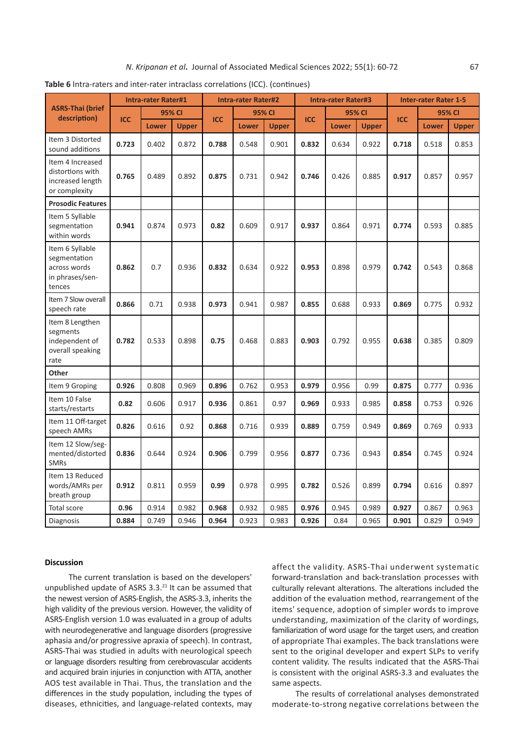|                                                                              |            | <b>Intra-rater Rater#1</b> |              |            |              | <b>Intra-rater Rater#2</b> |            | <b>Intra-rater Rater#3</b> |              |            | <b>Inter-rater Rater 1-5</b> |              |  |
|------------------------------------------------------------------------------|------------|----------------------------|--------------|------------|--------------|----------------------------|------------|----------------------------|--------------|------------|------------------------------|--------------|--|
| <b>ASRS-Thai (brief</b>                                                      |            |                            | 95% CI       |            |              | 95% CI                     |            |                            | 95% CI       |            |                              | 95% CI       |  |
| description)                                                                 | <b>ICC</b> | <b>Lower</b>               | <b>Upper</b> | <b>ICC</b> | <b>Lower</b> | <b>Upper</b>               | <b>ICC</b> | <b>Lower</b>               | <b>Upper</b> | <b>ICC</b> | <b>Lower</b>                 | <b>Upper</b> |  |
| Item 3 Distorted<br>sound additions                                          | 0.723      | 0.402                      | 0.872        | 0.788      | 0.548        | 0.901                      | 0.832      | 0.634                      | 0.922        | 0.718      | 0.518                        | 0.853        |  |
| Item 4 Increased<br>distortions with<br>increased length<br>or complexity    | 0.765      | 0.489                      | 0.892        | 0.875      | 0.731        | 0.942                      | 0.746      | 0.426                      | 0.885        | 0.917      | 0.857                        | 0.957        |  |
| <b>Prosodic Features</b>                                                     |            |                            |              |            |              |                            |            |                            |              |            |                              |              |  |
| Item 5 Syllable<br>segmentation<br>within words                              | 0.941      | 0.874                      | 0.973        | 0.82       | 0.609        | 0.917                      | 0.937      | 0.864                      | 0.971        | 0.774      | 0.593                        | 0.885        |  |
| Item 6 Syllable<br>segmentation<br>across words<br>in phrases/sen-<br>tences | 0.862      | 0.7                        | 0.936        | 0.832      | 0.634        | 0.922                      | 0.953      | 0.898                      | 0.979        | 0.742      | 0.543                        | 0.868        |  |
| Item 7 Slow overall<br>speech rate                                           | 0.866      | 0.71                       | 0.938        | 0.973      | 0.941        | 0.987                      | 0.855      | 0.688                      | 0.933        | 0.869      | 0.775                        | 0.932        |  |
| Item 8 Lengthen<br>segments<br>independent of<br>overall speaking<br>rate    | 0.782      | 0.533                      | 0.898        | 0.75       | 0.468        | 0.883                      | 0.903      | 0.792                      | 0.955        | 0.638      | 0.385                        | 0.809        |  |
| Other                                                                        |            |                            |              |            |              |                            |            |                            |              |            |                              |              |  |
| Item 9 Groping                                                               | 0.926      | 0.808                      | 0.969        | 0.896      | 0.762        | 0.953                      | 0.979      | 0.956                      | 0.99         | 0.875      | 0.777                        | 0.936        |  |
| Item 10 False<br>starts/restarts                                             | 0.82       | 0.606                      | 0.917        | 0.936      | 0.861        | 0.97                       | 0.969      | 0.933                      | 0.985        | 0.858      | 0.753                        | 0.926        |  |
| Item 11 Off-target<br>speech AMRs                                            | 0.826      | 0.616                      | 0.92         | 0.868      | 0.716        | 0.939                      | 0.889      | 0.759                      | 0.949        | 0.869      | 0.769                        | 0.933        |  |
| Item 12 Slow/seg-<br>mented/distorted<br><b>SMRs</b>                         | 0.836      | 0.644                      | 0.924        | 0.906      | 0.799        | 0.956                      | 0.877      | 0.736                      | 0.943        | 0.854      | 0.745                        | 0.924        |  |
| Item 13 Reduced<br>words/AMRs per<br>breath group                            | 0.912      | 0.811                      | 0.959        | 0.99       | 0.978        | 0.995                      | 0.782      | 0.526                      | 0.899        | 0.794      | 0.616                        | 0.897        |  |
|                                                                              |            |                            |              |            |              |                            |            |                            |              |            |                              |              |  |

Total score **0.96** 0.914 0.982 **0.968** 0.932 0.985 **0.976** 0.945 0.989 **0.927** 0.867 0.963 Diagnosis **0.884** 0.749 0.946 **0.964** 0.923 0.983 **0.926** 0.84 0.965 **0.901** 0.829 0.949

**Table 6** Intra-raters and inter-rater intraclass correlations (ICC). (continues)

# **Discussion**

The current translation is based on the developers' unpublished update of ASRS  $3.3<sup>21</sup>$  It can be assumed that the newest version of ASRS-English, the ASRS-3.3, inherits the high validity of the previous version. However, the validity of ASRS-English version 1.0 was evaluated in a group of adults with neurodegenerative and language disorders (progressive aphasia and/or progressive apraxia of speech). In contrast, ASRS-Thai was studied in adults with neurological speech or language disorders resulting from cerebrovascular accidents and acquired brain injuries in conjunction with ATTA, another AOS test available in Thai. Thus, the translation and the differences in the study population, including the types of diseases, ethnicities, and language-related contexts, may

affect the validity. ASRS-Thai underwent systematic forward-translation and back-translation processes with culturally relevant alterations. The alterations included the addition of the evaluation method, rearrangement of the items' sequence, adoption of simpler words to improve understanding, maximization of the clarity of wordings, familiarization of word usage for the target users, and creation of appropriate Thai examples. The back translations were sent to the original developer and expert SLPs to verify content validity. The results indicated that the ASRS-Thai is consistent with the original ASRS-3.3 and evaluates the same aspects.

The results of correlational analyses demonstrated moderate-to-strong negative correlations between the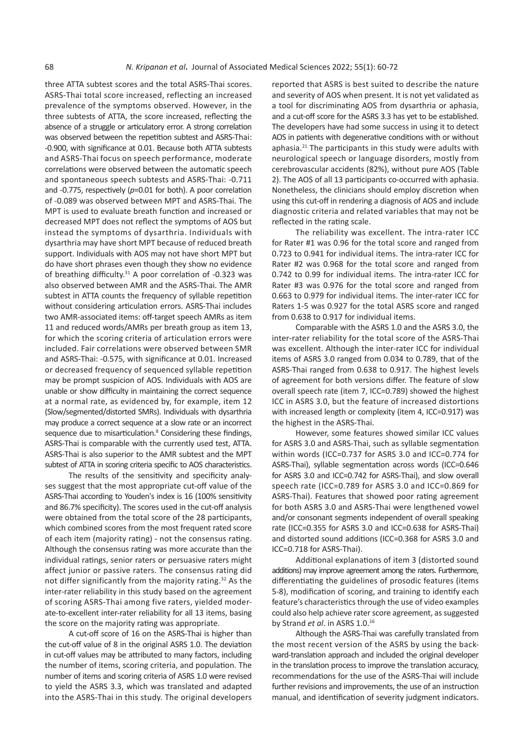three ATTA subtest scores and the total ASRS-Thai scores. ASRS-Thai total score increased, reflecting an increased prevalence of the symptoms observed. However, in the three subtests of ATTA, the score increased, reflecting the absence of a struggle or articulatory error. A strong correlation was observed between the repetition subtest and ASRS-Thai: -0.900, with significance at 0.01. Because both ATTA subtests and ASRS-Thai focus on speech performance, moderate correlations were observed between the automatic speech and spontaneous speech subtests and ASRS-Thai: -0.711 and -0.775, respectively (*p*=0.01 for both). A poor correlation of -0.089 was observed between MPT and ASRS-Thai. The MPT is used to evaluate breath function and increased or decreased MPT does not reflect the symptoms of AOS but instead the symptoms of dysarthria. Individuals with dysarthria may have short MPT because of reduced breath support. Individuals with AOS may not have short MPT but do have short phrases even though they show no evidence of breathing difficulty.<sup>31</sup> A poor correlation of -0.323 was also observed between AMR and the ASRS-Thai. The AMR subtest in ATTA counts the frequency of syllable repetition without considering articulation errors. ASRS-Thai includes two AMR-associated items: off-target speech AMRs as item 11 and reduced words/AMRs per breath group as item 13, for which the scoring criteria of articulation errors were included. Fair correlations were observed between SMR and ASRS-Thai: -0.575, with significance at 0.01. Increased or decreased frequency of sequenced syllable repetition may be prompt suspicion of AOS. Individuals with AOS are unable or show difficulty in maintaining the correct sequence at a normal rate, as evidenced by, for example, item 12 (Slow/segmented/distorted SMRs). Individuals with dysarthria may produce a correct sequence at a slow rate or an incorrect sequence due to misarticulation.<sup>8</sup> Considering these findings, ASRS-Thai is comparable with the currently used test, ATTA. ASRS-Thai is also superior to the AMR subtest and the MPT subtest of ATTA in scoring criteria specific to AOS characteristics.

The results of the sensitivity and specificity analyses suggest that the most appropriate cut-off value of the ASRS-Thai according to Youden's index is 16 (100% sensitivity and 86.7% specificity). The scores used in the cut-off analysis were obtained from the total score of the 28 participants, which combined scores from the most frequent rated score of each item (majority rating) - not the consensus rating. Although the consensus rating was more accurate than the individual ratings, senior raters or persuasive raters might affect junior or passive raters. The consensus rating did not differ significantly from the majority rating.<sup>32</sup> As the inter-rater reliability in this study based on the agreement of scoring ASRS-Thai among five raters, yielded moderate-to-excellent inter-rater reliability for all 13 items, basing the score on the majority rating was appropriate.

A cut-off score of 16 on the ASRS-Thai is higher than the cut-off value of 8 in the original ASRS 1.0. The deviation in cut-off values may be attributed to many factors, including the number of items, scoring criteria, and population. The number of items and scoring criteria of ASRS 1.0 were revised to yield the ASRS 3.3, which was translated and adapted into the ASRS-Thai in this study. The original developers

reported that ASRS is best suited to describe the nature and severity of AOS when present. It is not yet validated as a tool for discriminating AOS from dysarthria or aphasia, and a cut-off score for the ASRS 3.3 has yet to be established. The developers have had some success in using it to detect AOS in patients with degenerative conditions with or without aphasia.<sup>21</sup> The participants in this study were adults with neurological speech or language disorders, mostly from cerebrovascular accidents (82%), without pure AOS (Table 2). The AOS of all 13 participants co-occurred with aphasia. Nonetheless, the clinicians should employ discretion when using this cut-off in rendering a diagnosis of AOS and include diagnostic criteria and related variables that may not be reflected in the rating scale.

The reliability was excellent. The intra-rater ICC for Rater #1 was 0.96 for the total score and ranged from 0.723 to 0.941 for individual items. The intra-rater ICC for Rater #2 was 0.968 for the total score and ranged from 0.742 to 0.99 for individual items. The intra-rater ICC for Rater #3 was 0.976 for the total score and ranged from 0.663 to 0.979 for individual items. The inter-rater ICC for Raters 1-5 was 0.927 for the total ASRS score and ranged from 0.638 to 0.917 for individual items.

Comparable with the ASRS 1.0 and the ASRS 3.0, the inter-rater reliability for the total score of the ASRS-Thai was excellent. Although the inter-rater ICC for individual items of ASRS 3.0 ranged from 0.034 to 0.789, that of the ASRS-Thai ranged from 0.638 to 0.917. The highest levels of agreement for both versions differ. The feature of slow overall speech rate (item 7, ICC=0.789) showed the highest ICC in ASRS 3.0, but the feature of increased distortions with increased length or complexity (item 4, ICC=0.917) was the highest in the ASRS-Thai.

However, some features showed similar ICC values for ASRS 3.0 and ASRS-Thai, such as syllable segmentation within words (ICC=0.737 for ASRS 3.0 and ICC=0.774 for ASRS-Thai), syllable segmentation across words (ICC=0.646 for ASRS 3.0 and ICC=0.742 for ASRS-Thai), and slow overall speech rate (ICC=0.789 for ASRS 3.0 and ICC=0.869 for ASRS-Thai). Features that showed poor rating agreement for both ASRS 3.0 and ASRS-Thai were lengthened vowel and/or consonant segments independent of overall speaking rate (ICC=0.355 for ASRS 3.0 and ICC=0.638 for ASRS-Thai) and distorted sound additions (ICC=0.368 for ASRS 3.0 and ICC=0.718 for ASRS-Thai).

Additional explanations of item 3 (distorted sound additions) may improve agreement among the raters. Furthermore, differentiating the guidelines of prosodic features (items 5-8), modification of scoring, and training to identify each feature's characteristics through the use of video examples could also help achieve rater score agreement, as suggested by Strand *et al*. in ASRS 1.0.<sup>16</sup>

Although the ASRS-Thai was carefully translated from the most recent version of the ASRS by using the backward-translation approach and included the original developer in the translation process to improve the translation accuracy, recommendations for the use of the ASRS-Thai will include further revisions and improvements, the use of an instruction manual, and identification of severity judgment indicators.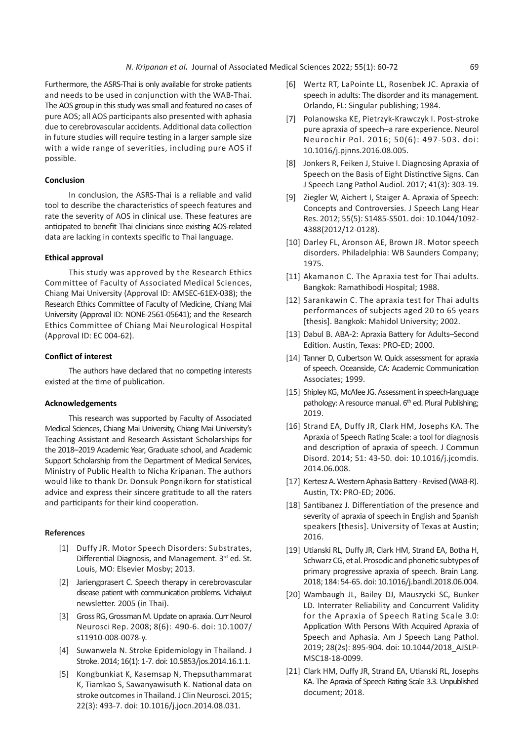Furthermore, the ASRS-Thai is only available for stroke patients and needs to be used in conjunction with the WAB-Thai. The AOS group in this study was small and featured no cases of pure AOS; all AOS participants also presented with aphasia due to cerebrovascular accidents. Additional data collection in future studies will require testing in a larger sample size with a wide range of severities, including pure AOS if possible.

#### **Conclusion**

In conclusion, the ASRS-Thai is a reliable and valid tool to describe the characteristics of speech features and rate the severity of AOS in clinical use. These features are anticipated to benefit Thai clinicians since existing AOS-related data are lacking in contexts specific to Thai language.

#### **Ethical approval**

This study was approved by the Research Ethics Committee of Faculty of Associated Medical Sciences, Chiang Mai University (Approval ID: AMSEC-61EX-038); the Research Ethics Committee of Faculty of Medicine, Chiang Mai University (Approval ID: NONE-2561-05641); and the Research Ethics Committee of Chiang Mai Neurological Hospital (Approval ID: EC 004-62).

### **Conflict of interest**

The authors have declared that no competing interests existed at the time of publication.

#### **Acknowledgements**

This research was supported by Faculty of Associated Medical Sciences, Chiang Mai University, Chiang Mai University's Teaching Assistant and Research Assistant Scholarships for the 2018–2019 Academic Year, Graduate school, and Academic Support Scholarship from the Department of Medical Services, Ministry of Public Health to Nicha Kripanan. The authors would like to thank Dr. Donsuk Pongnikorn for statistical advice and express their sincere gratitude to all the raters and participants for their kind cooperation.

#### **References**

- [1] Duffy JR. Motor Speech Disorders: Substrates, Differential Diagnosis, and Management. 3rd ed. St. Louis, MO: Elsevier Mosby; 2013.
- [2] Jariengprasert C. Speech therapy in cerebrovascular disease patient with communication problems. Vichaiyut newsletter. 2005 (in Thai).
- [3] Gross RG, Grossman M. Update on apraxia. Curr Neurol Neurosci Rep. 2008; 8(6): 490-6. doi: 10.1007/ s11910-008-0078-y.
- [4] Suwanwela N. Stroke Epidemiology in Thailand. J Stroke. 2014; 16(1): 1-7. doi: 10.5853/jos.2014.16.1.1.
- [5] Kongbunkiat K, Kasemsap N, Thepsuthammarat K, Tiamkao S, Sawanyawisuth K. National data on stroke outcomes in Thailand. J Clin Neurosci. 2015; 22(3): 493-7. doi: 10.1016/j.jocn.2014.08.031.
- [6] Wertz RT, LaPointe LL, Rosenbek JC. Apraxia of speech in adults: The disorder and its management. Orlando, FL: Singular publishing; 1984.
- [7] Polanowska KE, Pietrzyk-Krawczyk I. Post-stroke pure apraxia of speech–a rare experience. Neurol Neurochir Pol. 2016; 50(6): 497-503. doi: 10.1016/j.pjnns.2016.08.005.
- [8] Jonkers R, Feiken J, Stuive I. Diagnosing Apraxia of Speech on the Basis of Eight Distinctive Signs. Can J Speech Lang Pathol Audiol. 2017; 41(3): 303-19.
- [9] Ziegler W, Aichert I, Staiger A. Apraxia of Speech: Concepts and Controversies. J Speech Lang Hear Res. 2012; 55(5): S1485-S501. doi: 10.1044/1092- 4388(2012/12-0128).
- [10] Darley FL, Aronson AE, Brown JR. Motor speech disorders. Philadelphia: WB Saunders Company; 1975.
- [11] Akamanon C. The Apraxia test for Thai adults. Bangkok: Ramathibodi Hospital; 1988.
- [12] Sarankawin C. The apraxia test for Thai adults performances of subjects aged 20 to 65 years [thesis]. Bangkok: Mahidol University; 2002.
- [13] Dabul B. ABA-2: Apraxia Battery for Adults–Second Edition. Austin, Texas: PRO-ED; 2000.
- [14] Tanner D, Culbertson W. Quick assessment for apraxia of speech. Oceanside, CA: Academic Communication Associates; 1999.
- [15] Shipley KG, McAfee JG. Assessment in speech-language pathology: A resource manual. 6<sup>th</sup> ed. Plural Publishing; 2019.
- [16] Strand EA, Duffy JR, Clark HM, Josephs KA. The Apraxia of Speech Rating Scale: a tool for diagnosis and description of apraxia of speech. J Commun Disord. 2014; 51: 43-50. doi: 10.1016/j.jcomdis. 2014.06.008.
- [17] Kertesz A. Western Aphasia Battery Revised (WAB-R). Austin, TX: PRO-ED; 2006.
- [18] Santibanez J. Differentiation of the presence and severity of apraxia of speech in English and Spanish speakers [thesis]. University of Texas at Austin; 2016.
- [19] Utianski RL, Duffy JR, Clark HM, Strand EA, Botha H, Schwarz CG, et al. Prosodic and phonetic subtypes of primary progressive apraxia of speech. Brain Lang. 2018; 184: 54-65. doi: 10.1016/j.bandl.2018.06.004.
- [20] Wambaugh JL, Bailey DJ, Mauszycki SC, Bunker LD. Interrater Reliability and Concurrent Validity for the Apraxia of Speech Rating Scale 3.0: Application With Persons With Acquired Apraxia of Speech and Aphasia. Am J Speech Lang Pathol. 2019; 28(2s): 895-904. doi: 10.1044/2018\_AJSLP-MSC18-18-0099.
- [21] Clark HM, Duffy JR, Strand EA, Utianski RL, Josephs KA. The Apraxia of Speech Rating Scale 3.3. Unpublished document; 2018.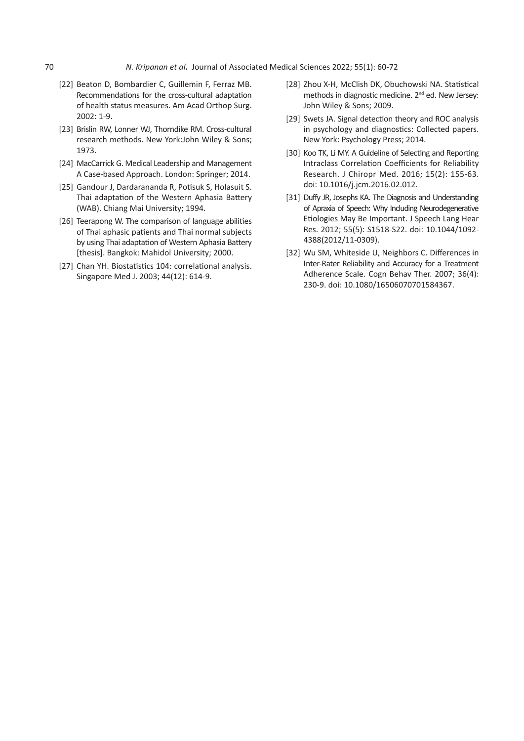- [22] Beaton D, Bombardier C, Guillemin F, Ferraz MB. Recommendations for the cross-cultural adaptation of health status measures. Am Acad Orthop Surg. 2002: 1-9.
- [23] Brislin RW, Lonner WJ, Thorndike RM, Cross-cultural research methods. New York:John Wiley & Sons; 1973.
- [24] MacCarrick G. Medical Leadership and Management A Case-based Approach. London: Springer; 2014.
- [25] Gandour J, Dardarananda R, Potisuk S, Holasuit S. Thai adaptation of the Western Aphasia Battery (WAB). Chiang Mai University; 1994.
- [26] Teerapong W. The comparison of language abilities of Thai aphasic patients and Thai normal subjects by using Thai adaptation of Western Aphasia Battery [thesis]. Bangkok: Mahidol University; 2000.
- [27] Chan YH. Biostatistics 104: correlational analysis. Singapore Med J. 2003; 44(12): 614-9.
- [28] Zhou X-H, McClish DK, Obuchowski NA. Statistical methods in diagnostic medicine. 2<sup>nd</sup> ed. New Jersey: John Wiley & Sons; 2009.
- [29] Swets JA. Signal detection theory and ROC analysis in psychology and diagnostics: Collected papers. New York: Psychology Press; 2014.
- [30] Koo TK, Li MY. A Guideline of Selecting and Reporting Intraclass Correlation Coefficients for Reliability Research. J Chiropr Med. 2016; 15(2): 155-63. doi: 10.1016/j.jcm.2016.02.012.
- [31] Duffy JR, Josephs KA. The Diagnosis and Understanding of Apraxia of Speech: Why Including Neurodegenerative Etiologies May Be Important. J Speech Lang Hear Res. 2012; 55(5): S1518-S22. doi: 10.1044/1092- 4388(2012/11-0309).
- [32] Wu SM, Whiteside U, Neighbors C. Differences in Inter‐Rater Reliability and Accuracy for a Treatment Adherence Scale. Cogn Behav Ther. 2007; 36(4): 230-9. doi: 10.1080/16506070701584367.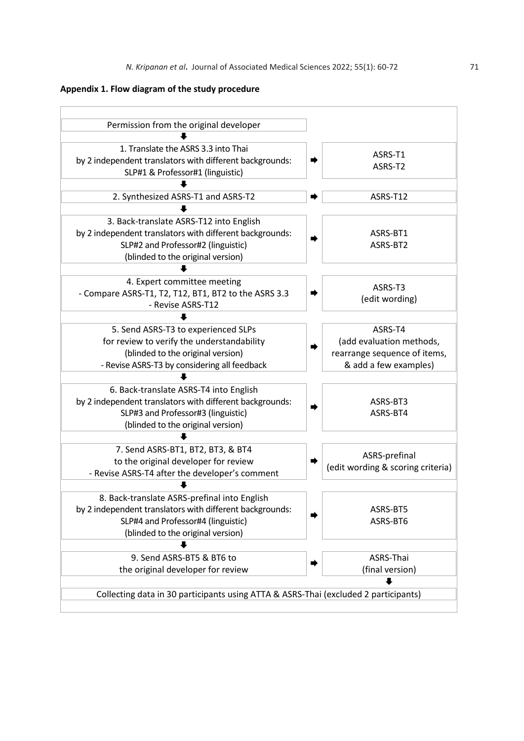# **Appendix 1. Flow diagram of the study procedure**